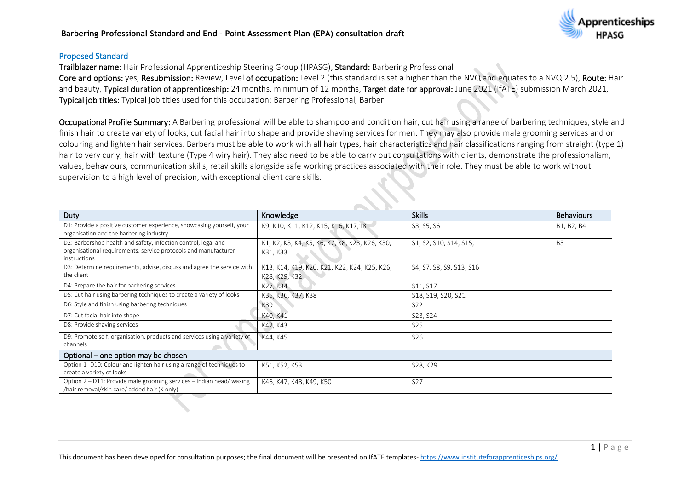#### **Barbering Professional Standard and End – Point Assessment Plan (EPA) consultation draft**



#### Proposed Standard

Trailblazer name: Hair Professional Apprenticeship Steering Group (HPASG), Standard: Barbering Professional

Core and options: yes, Resubmission: Review, Level of occupation: Level 2 (this standard is set a higher than the NVQ and equates to a NVQ 2.5), Route: Hair and beauty, Typical duration of apprenticeship: 24 months, minimum of 12 months, Target date for approval: June 2021 (IfATE) submission March 2021, Typical job titles: Typical job titles used for this occupation: Barbering Professional, Barber

Occupational Profile Summary: A Barbering professional will be able to shampoo and condition hair, cut hair using a range of barbering techniques, style and finish hair to create variety of looks, cut facial hair into shape and provide shaving services for men. They may also provide male grooming services and or colouring and lighten hair services. Barbers must be able to work with all hair types, hair characteristics and hair classifications ranging from straight (type 1) hair to very curly, hair with texture (Type 4 wiry hair). They also need to be able to carry out consultations with clients, demonstrate the professionalism, values, behaviours, communication skills, retail skills alongside safe working practices associated with their role. They must be able to work without supervision to a high level of precision, with exceptional client care skills.

| Duty                                                                                                                                              | Knowledge                                                     | <b>Skills</b>            | <b>Behaviours</b> |
|---------------------------------------------------------------------------------------------------------------------------------------------------|---------------------------------------------------------------|--------------------------|-------------------|
| D1: Provide a positive customer experience, showcasing yourself, your<br>organisation and the barbering industry                                  | K9, K10, K11, K12, K15, K16, K17,18                           | S3, S5, S6               | B1, B2, B4        |
| D2: Barbershop health and safety, infection control, legal and<br>organisational requirements, service protocols and manufacturer<br>instructions | K1, K2, K3, K4, K5, K6, K7, K8, K23, K26, K30,<br>K31, K33    | S1, S2, S10, S14, S15,   | B <sub>3</sub>    |
| D3: Determine requirements, advise, discuss and agree the service with<br>the client                                                              | K13, K14, K19, K20, K21, K22, K24, K25, K26,<br>K28, K29, K32 | S4, S7, S8, S9, S13, S16 |                   |
| D4: Prepare the hair for barbering services                                                                                                       | K27, K34                                                      | S11, S17                 |                   |
| D5: Cut hair using barbering techniques to create a variety of looks                                                                              | K35, K36, K37, K38                                            | S18, S19, S20, S21       |                   |
| D6: Style and finish using barbering techniques                                                                                                   | K39                                                           | S <sub>22</sub>          |                   |
| D7: Cut facial hair into shape                                                                                                                    | K40, K41                                                      | S23, S24                 |                   |
| D8: Provide shaving services                                                                                                                      | K42, K43                                                      | S <sub>25</sub>          |                   |
| D9: Promote self, organisation, products and services using a variety of<br>channels                                                              | K44, K45                                                      | S <sub>26</sub>          |                   |
| Optional – one option may be chosen                                                                                                               |                                                               |                          |                   |
| Option 1- D10: Colour and lighten hair using a range of techniques to<br>create a variety of looks                                                | K51, K52, K53                                                 | S28, K29                 |                   |
| Option 2 - D11: Provide male grooming services - Indian head/ waxing<br>/hair removal/skin care/ added hair (K only)                              | K46, K47, K48, K49, K50                                       | S <sub>27</sub>          |                   |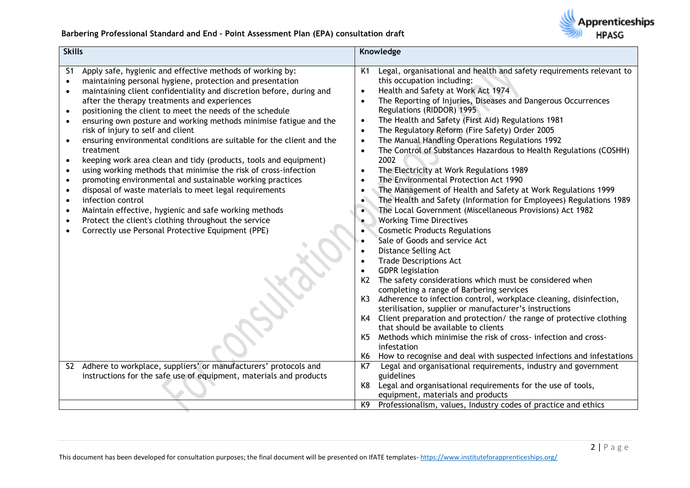

| <b>Skills</b>                |                                                                                                                                                                                                                                                                                                                                                                                                                                                                                                                                                                                                                                                                                                                                                                                                                                                                                                                                                                     |                                                                                                                                                       | Knowledge                                                                                                                                                                                                                                                                                                                                                                                                                                                                                                                                                                                                                                                                                                                                                                                                                                                                                                                                                                                                                                                                                                                                                                                                                                                                                                                                                                                     |
|------------------------------|---------------------------------------------------------------------------------------------------------------------------------------------------------------------------------------------------------------------------------------------------------------------------------------------------------------------------------------------------------------------------------------------------------------------------------------------------------------------------------------------------------------------------------------------------------------------------------------------------------------------------------------------------------------------------------------------------------------------------------------------------------------------------------------------------------------------------------------------------------------------------------------------------------------------------------------------------------------------|-------------------------------------------------------------------------------------------------------------------------------------------------------|-----------------------------------------------------------------------------------------------------------------------------------------------------------------------------------------------------------------------------------------------------------------------------------------------------------------------------------------------------------------------------------------------------------------------------------------------------------------------------------------------------------------------------------------------------------------------------------------------------------------------------------------------------------------------------------------------------------------------------------------------------------------------------------------------------------------------------------------------------------------------------------------------------------------------------------------------------------------------------------------------------------------------------------------------------------------------------------------------------------------------------------------------------------------------------------------------------------------------------------------------------------------------------------------------------------------------------------------------------------------------------------------------|
| S1<br>$\bullet$<br>$\bullet$ | Apply safe, hygienic and effective methods of working by:<br>maintaining personal hygiene, protection and presentation<br>maintaining client confidentiality and discretion before, during and<br>after the therapy treatments and experiences<br>positioning the client to meet the needs of the schedule<br>ensuring own posture and working methods minimise fatigue and the<br>risk of injury to self and client<br>ensuring environmental conditions are suitable for the client and the<br>treatment<br>keeping work area clean and tidy (products, tools and equipment)<br>using working methods that minimise the risk of cross-infection<br>promoting environmental and sustainable working practices<br>disposal of waste materials to meet legal requirements<br>infection control<br>Maintain effective, hygienic and safe working methods<br>Protect the client's clothing throughout the service<br>Correctly use Personal Protective Equipment (PPE) | K1<br>$\bullet$<br>$\bullet$<br>$\bullet$<br>$\bullet$<br>$\bullet$<br>$\bullet$<br>$\bullet$<br>$\bullet$<br>$\bullet$<br>K <sub>2</sub><br>K3<br>K5 | Legal, organisational and health and safety requirements relevant to<br>this occupation including:<br>Health and Safety at Work Act 1974<br>The Reporting of Injuries, Diseases and Dangerous Occurrences<br>Regulations (RIDDOR) 1995<br>The Health and Safety (First Aid) Regulations 1981<br>The Regulatory Reform (Fire Safety) Order 2005<br>The Manual Handling Operations Regulations 1992<br>The Control of Substances Hazardous to Health Regulations (COSHH)<br>2002<br>The Electricity at Work Regulations 1989<br>The Environmental Protection Act 1990<br>The Management of Health and Safety at Work Regulations 1999<br>The Health and Safety (Information for Employees) Regulations 1989<br>The Local Government (Miscellaneous Provisions) Act 1982<br><b>Working Time Directives</b><br><b>Cosmetic Products Regulations</b><br>Sale of Goods and service Act<br>Distance Selling Act<br><b>Trade Descriptions Act</b><br><b>GDPR</b> legislation<br>The safety considerations which must be considered when<br>completing a range of Barbering services<br>Adherence to infection control, workplace cleaning, disinfection,<br>sterilisation, supplier or manufacturer's instructions<br>K4 Client preparation and protection/ the range of protective clothing<br>that should be available to clients<br>Methods which minimise the risk of cross- infection and cross- |
|                              |                                                                                                                                                                                                                                                                                                                                                                                                                                                                                                                                                                                                                                                                                                                                                                                                                                                                                                                                                                     | K6                                                                                                                                                    | infestation<br>How to recognise and deal with suspected infections and infestations                                                                                                                                                                                                                                                                                                                                                                                                                                                                                                                                                                                                                                                                                                                                                                                                                                                                                                                                                                                                                                                                                                                                                                                                                                                                                                           |
| S <sub>2</sub>               | Adhere to workplace, suppliers' or manufacturers' protocols and<br>instructions for the safe use of equipment, materials and products                                                                                                                                                                                                                                                                                                                                                                                                                                                                                                                                                                                                                                                                                                                                                                                                                               | K7<br>K8                                                                                                                                              | Legal and organisational requirements, industry and government<br>guidelines<br>Legal and organisational requirements for the use of tools,<br>equipment, materials and products                                                                                                                                                                                                                                                                                                                                                                                                                                                                                                                                                                                                                                                                                                                                                                                                                                                                                                                                                                                                                                                                                                                                                                                                              |
|                              |                                                                                                                                                                                                                                                                                                                                                                                                                                                                                                                                                                                                                                                                                                                                                                                                                                                                                                                                                                     | K9                                                                                                                                                    | Professionalism, values, Industry codes of practice and ethics                                                                                                                                                                                                                                                                                                                                                                                                                                                                                                                                                                                                                                                                                                                                                                                                                                                                                                                                                                                                                                                                                                                                                                                                                                                                                                                                |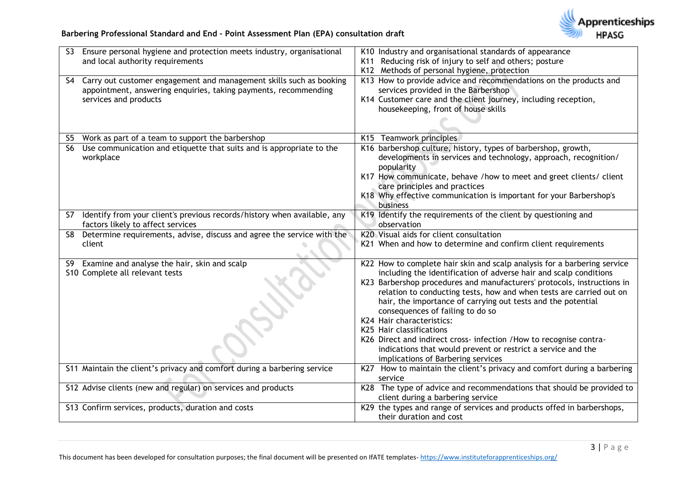

# **Barbering Professional Standard and End – Point Assessment Plan (EPA) consultation draft**

| Ensure personal hygiene and protection meets industry, organisational<br>S <sub>3</sub> | K10 Industry and organisational standards of appearance                                                                                      |
|-----------------------------------------------------------------------------------------|----------------------------------------------------------------------------------------------------------------------------------------------|
| and local authority requirements                                                        | K11 Reducing risk of injury to self and others; posture                                                                                      |
|                                                                                         | K12 Methods of personal hygiene, protection                                                                                                  |
| S4 Carry out customer engagement and management skills such as booking                  | K13 How to provide advice and recommendations on the products and                                                                            |
| appointment, answering enquiries, taking payments, recommending                         | services provided in the Barbershop                                                                                                          |
| services and products                                                                   | K14 Customer care and the client journey, including reception,                                                                               |
|                                                                                         | housekeeping, front of house skills                                                                                                          |
|                                                                                         |                                                                                                                                              |
| Work as part of a team to support the barbershop<br>S5                                  | K15 Teamwork principles                                                                                                                      |
| Use communication and etiquette that suits and is appropriate to the<br><b>S6</b>       | K16 barbershop culture, history, types of barbershop, growth,                                                                                |
| workplace                                                                               | developments in services and technology, approach, recognition/                                                                              |
|                                                                                         | popularity                                                                                                                                   |
|                                                                                         | K17 How communicate, behave /how to meet and greet clients/ client                                                                           |
|                                                                                         | care principles and practices                                                                                                                |
|                                                                                         | K18 Why effective communication is important for your Barbershop's                                                                           |
|                                                                                         | business                                                                                                                                     |
| Identify from your client's previous records/history when available, any<br>S7          | K19 Identify the requirements of the client by questioning and                                                                               |
| factors likely to affect services                                                       | observation                                                                                                                                  |
| Determine requirements, advise, discuss and agree the service with the<br>S8            | K20 Visual aids for client consultation                                                                                                      |
| client                                                                                  | K21 When and how to determine and confirm client requirements                                                                                |
|                                                                                         |                                                                                                                                              |
| Examine and analyse the hair, skin and scalp<br>S9                                      | K22 How to complete hair skin and scalp analysis for a barbering service                                                                     |
| S10 Complete all relevant tests                                                         | including the identification of adverse hair and scalp conditions<br>K23 Barbershop procedures and manufacturers' protocols, instructions in |
|                                                                                         | relation to conducting tests, how and when tests are carried out on                                                                          |
|                                                                                         | hair, the importance of carrying out tests and the potential                                                                                 |
|                                                                                         | consequences of failing to do so                                                                                                             |
|                                                                                         | K24 Hair characteristics:                                                                                                                    |
|                                                                                         | K25 Hair classifications                                                                                                                     |
|                                                                                         | K26 Direct and indirect cross- infection / How to recognise contra-                                                                          |
|                                                                                         | indications that would prevent or restrict a service and the                                                                                 |
|                                                                                         | implications of Barbering services                                                                                                           |
| S11 Maintain the client's privacy and comfort during a barbering service                | K27 How to maintain the client's privacy and comfort during a barbering                                                                      |
|                                                                                         | service                                                                                                                                      |
| S12 Advise clients (new and regular) on services and products                           | K28 The type of advice and recommendations that should be provided to                                                                        |
|                                                                                         | client during a barbering service                                                                                                            |
| S13 Confirm services, products, duration and costs                                      | K29 the types and range of services and products offed in barbershops,<br>their duration and cost                                            |
|                                                                                         |                                                                                                                                              |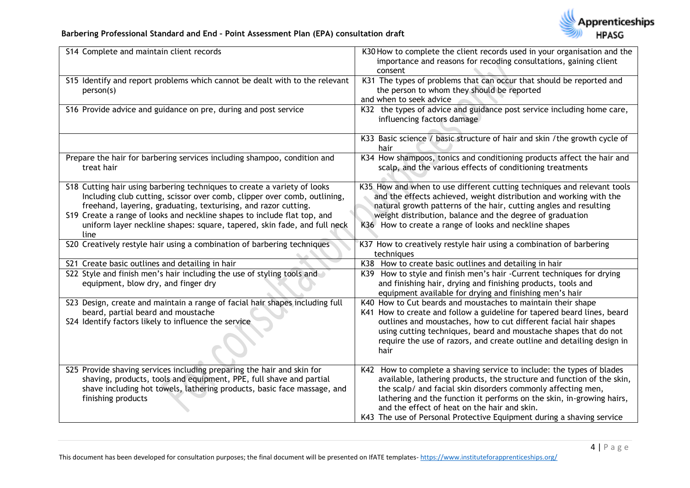

# **Barbering Professional Standard and End – Point Assessment Plan (EPA) consultation draft**

| S14 Complete and maintain client records                                                                                                                                                                                                                                                                                                                                                | K30 How to complete the client records used in your organisation and the<br>importance and reasons for recoding consultations, gaining client<br>consent                                                                                                                                                                                                                                                          |
|-----------------------------------------------------------------------------------------------------------------------------------------------------------------------------------------------------------------------------------------------------------------------------------------------------------------------------------------------------------------------------------------|-------------------------------------------------------------------------------------------------------------------------------------------------------------------------------------------------------------------------------------------------------------------------------------------------------------------------------------------------------------------------------------------------------------------|
| S15 Identify and report problems which cannot be dealt with to the relevant<br>person(s)                                                                                                                                                                                                                                                                                                | K31 The types of problems that can occur that should be reported and<br>the person to whom they should be reported<br>and when to seek advice                                                                                                                                                                                                                                                                     |
| S16 Provide advice and guidance on pre, during and post service                                                                                                                                                                                                                                                                                                                         | K32 the types of advice and guidance post service including home care,<br>influencing factors damage                                                                                                                                                                                                                                                                                                              |
|                                                                                                                                                                                                                                                                                                                                                                                         | K33 Basic science / basic structure of hair and skin / the growth cycle of<br>hair                                                                                                                                                                                                                                                                                                                                |
| Prepare the hair for barbering services including shampoo, condition and<br>treat hair                                                                                                                                                                                                                                                                                                  | K34 How shampoos, tonics and conditioning products affect the hair and<br>scalp, and the various effects of conditioning treatments                                                                                                                                                                                                                                                                               |
| S18 Cutting hair using barbering techniques to create a variety of looks<br>Including club cutting, scissor over comb, clipper over comb, outlining,<br>freehand, layering, graduating, texturising, and razor cutting.<br>S19 Create a range of looks and neckline shapes to include flat top, and<br>uniform layer neckline shapes: square, tapered, skin fade, and full neck<br>line | K35 How and when to use different cutting techniques and relevant tools<br>and the effects achieved, weight distribution and working with the<br>natural growth patterns of the hair, cutting angles and resulting<br>weight distribution, balance and the degree of graduation<br>K36 How to create a range of looks and neckline shapes                                                                         |
| S20 Creatively restyle hair using a combination of barbering techniques                                                                                                                                                                                                                                                                                                                 | K37 How to creatively restyle hair using a combination of barbering<br>techniques                                                                                                                                                                                                                                                                                                                                 |
| S21 Create basic outlines and detailing in hair                                                                                                                                                                                                                                                                                                                                         | K38 How to create basic outlines and detailing in hair                                                                                                                                                                                                                                                                                                                                                            |
| S22 Style and finish men's hair including the use of styling tools and<br>equipment, blow dry, and finger dry                                                                                                                                                                                                                                                                           | K39 How to style and finish men's hair -Current techniques for drying<br>and finishing hair, drying and finishing products, tools and<br>equipment available for drying and finishing men's hair                                                                                                                                                                                                                  |
| S23 Design, create and maintain a range of facial hair shapes including full<br>beard, partial beard and moustache<br>S24 Identify factors likely to influence the service                                                                                                                                                                                                              | K40 How to Cut beards and moustaches to maintain their shape<br>K41 How to create and follow a guideline for tapered beard lines, beard<br>outlines and moustaches, how to cut different facial hair shapes<br>using cutting techniques, beard and moustache shapes that do not<br>require the use of razors, and create outline and detailing design in<br>hair                                                  |
| S25 Provide shaving services including preparing the hair and skin for<br>shaving, products, tools and equipment, PPE, full shave and partial<br>shave including hot towels, lathering products, basic face massage, and<br>finishing products                                                                                                                                          | K42 How to complete a shaving service to include: the types of blades<br>available, lathering products, the structure and function of the skin,<br>the scalp/ and facial skin disorders commonly affecting men,<br>lathering and the function it performs on the skin, in-growing hairs,<br>and the effect of heat on the hair and skin.<br>K43 The use of Personal Protective Equipment during a shaving service |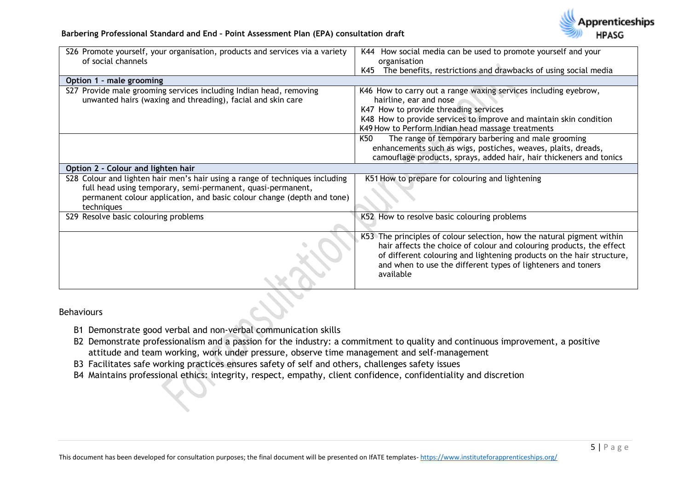

| S26 Promote yourself, your organisation, products and services via a variety<br>of social channels                                                                                                                                  | K44 How social media can be used to promote yourself and your<br>organisation                                                                                                                                                                                                                        |
|-------------------------------------------------------------------------------------------------------------------------------------------------------------------------------------------------------------------------------------|------------------------------------------------------------------------------------------------------------------------------------------------------------------------------------------------------------------------------------------------------------------------------------------------------|
|                                                                                                                                                                                                                                     | The benefits, restrictions and drawbacks of using social media<br>K45                                                                                                                                                                                                                                |
| Option 1 - male grooming                                                                                                                                                                                                            |                                                                                                                                                                                                                                                                                                      |
| S27 Provide male grooming services including Indian head, removing<br>unwanted hairs (waxing and threading), facial and skin care                                                                                                   | K46 How to carry out a range waxing services including eyebrow,<br>hairline, ear and nose<br>K47 How to provide threading services<br>K48 How to provide services to improve and maintain skin condition<br>K49 How to Perform Indian head massage treatments                                        |
|                                                                                                                                                                                                                                     | The range of temporary barbering and male grooming<br>K50<br>enhancements such as wigs, postiches, weaves, plaits, dreads,<br>camouflage products, sprays, added hair, hair thickeners and tonics                                                                                                    |
| Option 2 - Colour and lighten hair                                                                                                                                                                                                  |                                                                                                                                                                                                                                                                                                      |
| S28 Colour and lighten hair men's hair using a range of techniques including<br>full head using temporary, semi-permanent, quasi-permanent,<br>permanent colour application, and basic colour change (depth and tone)<br>techniques | K51 How to prepare for colouring and lightening                                                                                                                                                                                                                                                      |
| S29 Resolve basic colouring problems                                                                                                                                                                                                | K52 How to resolve basic colouring problems                                                                                                                                                                                                                                                          |
|                                                                                                                                                                                                                                     | K53 The principles of colour selection, how the natural pigment within<br>hair affects the choice of colour and colouring products, the effect<br>of different colouring and lightening products on the hair structure,<br>and when to use the different types of lighteners and toners<br>available |

### Behaviours

- B1 Demonstrate good verbal and non-verbal communication skills
- B2 Demonstrate professionalism and a passion for the industry: a commitment to quality and continuous improvement, a positive attitude and team working, work under pressure, observe time management and self-management
- B3 Facilitates safe working practices ensures safety of self and others, challenges safety issues
- B4 Maintains professional ethics: integrity, respect, empathy, client confidence, confidentiality and discretion

pprenticeships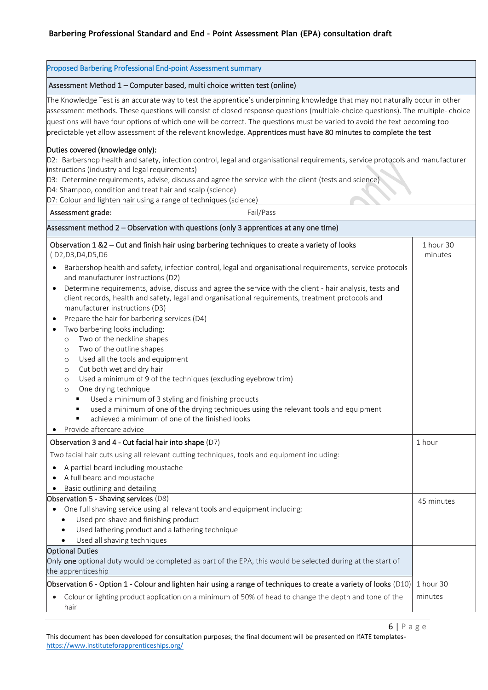| Proposed Barbering Professional End-point Assessment summary                                                                                                                                                                                                                                                                                                                                                                                                                                                                                                                                                                                                                                                                                                                                                                                                                                                                                                                                                                                                                                                                                                                             |                      |  |
|------------------------------------------------------------------------------------------------------------------------------------------------------------------------------------------------------------------------------------------------------------------------------------------------------------------------------------------------------------------------------------------------------------------------------------------------------------------------------------------------------------------------------------------------------------------------------------------------------------------------------------------------------------------------------------------------------------------------------------------------------------------------------------------------------------------------------------------------------------------------------------------------------------------------------------------------------------------------------------------------------------------------------------------------------------------------------------------------------------------------------------------------------------------------------------------|----------------------|--|
| Assessment Method 1 - Computer based, multi choice written test (online)                                                                                                                                                                                                                                                                                                                                                                                                                                                                                                                                                                                                                                                                                                                                                                                                                                                                                                                                                                                                                                                                                                                 |                      |  |
| The Knowledge Test is an accurate way to test the apprentice's underpinning knowledge that may not naturally occur in other<br>assessment methods. These questions will consist of closed response questions (multiple-choice questions). The multiple- choice<br>questions will have four options of which one will be correct. The questions must be varied to avoid the text becoming too<br>predictable yet allow assessment of the relevant knowledge. Apprentices must have 80 minutes to complete the test                                                                                                                                                                                                                                                                                                                                                                                                                                                                                                                                                                                                                                                                        |                      |  |
| Duties covered (knowledge only):<br>D2: Barbershop health and safety, infection control, legal and organisational requirements, service protocols and manufacturer<br>instructions (industry and legal requirements)<br>D3: Determine requirements, advise, discuss and agree the service with the client (tests and science)<br>D4: Shampoo, condition and treat hair and scalp (science)<br>D7: Colour and lighten hair using a range of techniques (science)                                                                                                                                                                                                                                                                                                                                                                                                                                                                                                                                                                                                                                                                                                                          |                      |  |
| Fail/Pass<br>Assessment grade:                                                                                                                                                                                                                                                                                                                                                                                                                                                                                                                                                                                                                                                                                                                                                                                                                                                                                                                                                                                                                                                                                                                                                           |                      |  |
| Assessment method 2 - Observation with questions (only 3 apprentices at any one time)                                                                                                                                                                                                                                                                                                                                                                                                                                                                                                                                                                                                                                                                                                                                                                                                                                                                                                                                                                                                                                                                                                    |                      |  |
| Observation 1 &2 - Cut and finish hair using barbering techniques to create a variety of looks<br>(D2,D3,D4,D5,D6<br>Barbershop health and safety, infection control, legal and organisational requirements, service protocols<br>$\bullet$<br>and manufacturer instructions (D2)<br>Determine requirements, advise, discuss and agree the service with the client - hair analysis, tests and<br>$\bullet$<br>client records, health and safety, legal and organisational requirements, treatment protocols and<br>manufacturer instructions (D3)<br>Prepare the hair for barbering services (D4)<br>$\bullet$<br>Two barbering looks including:<br>$\bullet$<br>Two of the neckline shapes<br>$\circ$<br>Two of the outline shapes<br>$\circ$<br>Used all the tools and equipment<br>$\circ$<br>Cut both wet and dry hair<br>$\circ$<br>Used a minimum of 9 of the techniques (excluding eyebrow trim)<br>$\circ$<br>One drying technique<br>$\circ$<br>Used a minimum of 3 styling and finishing products<br>٠<br>used a minimum of one of the drying techniques using the relevant tools and equipment<br>achieved a minimum of one of the finished looks<br>Provide aftercare advice | 1 hour 30<br>minutes |  |
| Observation 3 and 4 - Cut facial hair into shape (D7)<br>Two facial hair cuts using all relevant cutting techniques, tools and equipment including:<br>A partial beard including moustache<br>$\bullet$<br>A full beard and moustache<br>Basic outlining and detailing                                                                                                                                                                                                                                                                                                                                                                                                                                                                                                                                                                                                                                                                                                                                                                                                                                                                                                                   | 1 hour               |  |
| Observation 5 - Shaving services (D8)<br>One full shaving service using all relevant tools and equipment including:<br>$\bullet$<br>Used pre-shave and finishing product<br>Used lathering product and a lathering technique<br>Used all shaving techniques<br>$\bullet$<br><b>Optional Duties</b>                                                                                                                                                                                                                                                                                                                                                                                                                                                                                                                                                                                                                                                                                                                                                                                                                                                                                       | 45 minutes           |  |
| Only one optional duty would be completed as part of the EPA, this would be selected during at the start of<br>the apprenticeship<br>Observation 6 - Option 1 - Colour and lighten hair using a range of techniques to create a variety of looks (D10)<br>Colour or lighting product application on a minimum of 50% of head to change the depth and tone of the<br>٠<br>hair                                                                                                                                                                                                                                                                                                                                                                                                                                                                                                                                                                                                                                                                                                                                                                                                            | 1 hour 30<br>minutes |  |

6 | P a g e